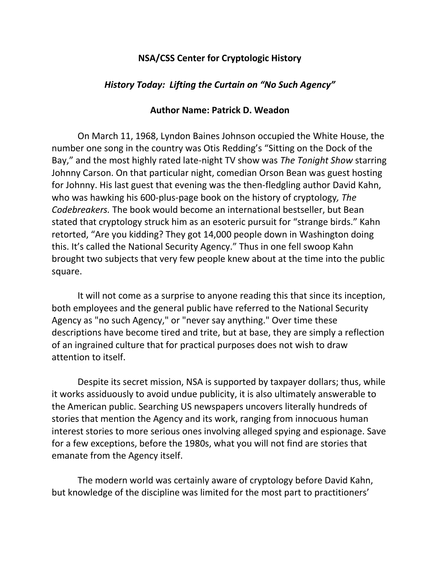## **NSA/CSS Center for Cryptologic History**

## *History Today: Lifting the Curtain on "No Such Agency"*

## **Author Name: Patrick D. Weadon**

On March 11, 1968, Lyndon Baines Johnson occupied the White House, the number one song in the country was Otis Redding's "Sitting on the Dock of the Bay," and the most highly rated late-night TV show was *The Tonight Show* starring Johnny Carson. On that particular night, comedian Orson Bean was guest hosting for Johnny. His last guest that evening was the then-fledgling author David Kahn, who was hawking his 600-plus-page book on the history of cryptology*, The Codebreakers.* The book would become an international bestseller, but Bean stated that cryptology struck him as an esoteric pursuit for "strange birds." Kahn retorted, "Are you kidding? They got 14,000 people down in Washington doing this. It's called the National Security Agency." Thus in one fell swoop Kahn brought two subjects that very few people knew about at the time into the public square.

It will not come as a surprise to anyone reading this that since its inception, both employees and the general public have referred to the National Security Agency as "no such Agency," or "never say anything." Over time these descriptions have become tired and trite, but at base, they are simply a reflection of an ingrained culture that for practical purposes does not wish to draw attention to itself.

Despite its secret mission, NSA is supported by taxpayer dollars; thus, while it works assiduously to avoid undue publicity, it is also ultimately answerable to the American public. Searching US newspapers uncovers literally hundreds of stories that mention the Agency and its work, ranging from innocuous human interest stories to more serious ones involving alleged spying and espionage. Save for a few exceptions, before the 1980s, what you will not find are stories that emanate from the Agency itself.

The modern world was certainly aware of cryptology before David Kahn, but knowledge of the discipline was limited for the most part to practitioners'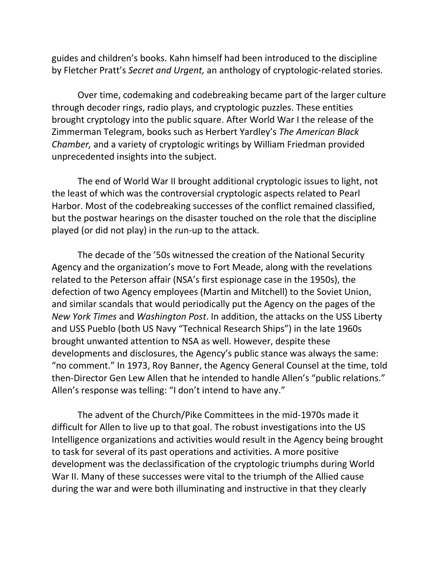guides and children's books. Kahn himself had been introduced to the discipline by Fletcher Pratt's *Secret and Urgent,* an anthology of cryptologic-related stories.

Over time, codemaking and codebreaking became part of the larger culture through decoder rings, radio plays, and cryptologic puzzles. These entities brought cryptology into the public square. After World War I the release of the Zimmerman Telegram, books such as Herbert Yardley's *The American Black Chamber,* and a variety of cryptologic writings by William Friedman provided unprecedented insights into the subject.

The end of World War II brought additional cryptologic issues to light, not the least of which was the controversial cryptologic aspects related to Pearl Harbor. Most of the codebreaking successes of the conflict remained classified, but the postwar hearings on the disaster touched on the role that the discipline played (or did not play) in the run-up to the attack.

The decade of the '50s witnessed the creation of the National Security Agency and the organization's move to Fort Meade, along with the revelations related to the Peterson affair (NSA's first espionage case in the 1950s), the defection of two Agency employees (Martin and Mitchell) to the Soviet Union, and similar scandals that would periodically put the Agency on the pages of the *New York Times* and *Washington Post*. In addition, the attacks on the USS Liberty and USS Pueblo (both US Navy "Technical Research Ships") in the late 1960s brought unwanted attention to NSA as well. However, despite these developments and disclosures, the Agency's public stance was always the same: "no comment." In 1973, Roy Banner, the Agency General Counsel at the time, told then-Director Gen Lew Allen that he intended to handle Allen's "public relations." Allen's response was telling: "I don't intend to have any."

The advent of the Church/Pike Committees in the mid-1970s made it difficult for Allen to live up to that goal. The robust investigations into the US Intelligence organizations and activities would result in the Agency being brought to task for several of its past operations and activities. A more positive development was the declassification of the cryptologic triumphs during World War II. Many of these successes were vital to the triumph of the Allied cause during the war and were both illuminating and instructive in that they clearly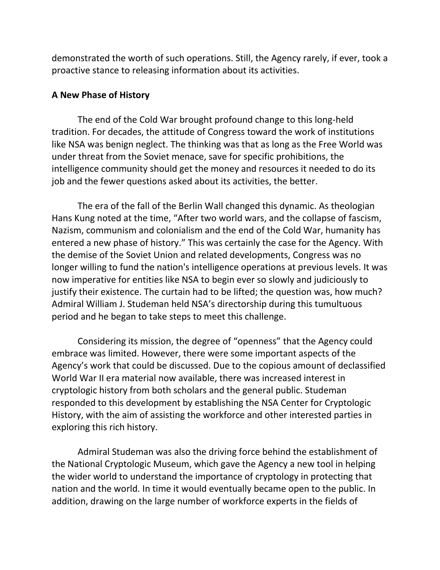demonstrated the worth of such operations. Still, the Agency rarely, if ever, took a proactive stance to releasing information about its activities.

## **A New Phase of History**

The end of the Cold War brought profound change to this long-held tradition. For decades, the attitude of Congress toward the work of institutions like NSA was benign neglect. The thinking was that as long as the Free World was under threat from the Soviet menace, save for specific prohibitions, the intelligence community should get the money and resources it needed to do its job and the fewer questions asked about its activities, the better.

The era of the fall of the Berlin Wall changed this dynamic. As theologian Hans Kung noted at the time, "After two world wars, and the collapse of fascism, Nazism, communism and colonialism and the end of the Cold War, humanity has entered a new phase of history." This was certainly the case for the Agency. With the demise of the Soviet Union and related developments, Congress was no longer willing to fund the nation's intelligence operations at previous levels. It was now imperative for entities like NSA to begin ever so slowly and judiciously to justify their existence. The curtain had to be lifted; the question was, how much? Admiral William J. Studeman held NSA's directorship during this tumultuous period and he began to take steps to meet this challenge.

Considering its mission, the degree of "openness" that the Agency could embrace was limited. However, there were some important aspects of the Agency's work that could be discussed. Due to the copious amount of declassified World War II era material now available, there was increased interest in cryptologic history from both scholars and the general public. Studeman responded to this development by establishing the NSA Center for Cryptologic History, with the aim of assisting the workforce and other interested parties in exploring this rich history.

Admiral Studeman was also the driving force behind the establishment of the National Cryptologic Museum, which gave the Agency a new tool in helping the wider world to understand the importance of cryptology in protecting that nation and the world. In time it would eventually became open to the public. In addition, drawing on the large number of workforce experts in the fields of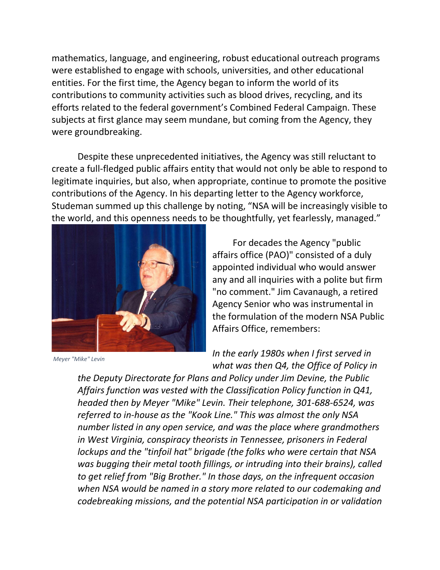mathematics, language, and engineering, robust educational outreach programs were established to engage with schools, universities, and other educational entities. For the first time, the Agency began to inform the world of its contributions to community activities such as blood drives, recycling, and its efforts related to the federal government's Combined Federal Campaign. These subjects at first glance may seem mundane, but coming from the Agency, they were groundbreaking.

Despite these unprecedented initiatives, the Agency was still reluctant to create a full-fledged public affairs entity that would not only be able to respond to legitimate inquiries, but also, when appropriate, continue to promote the positive contributions of the Agency. In his departing letter to the Agency workforce, Studeman summed up this challenge by noting, "NSA will be increasingly visible to the world, and this openness needs to be thoughtfully, yet fearlessly, managed."



*Meyer "Mike" Levin*

For decades the Agency "public affairs office (PAO)" consisted of a duly appointed individual who would answer any and all inquiries with a polite but firm "no comment." Jim Cavanaugh, a retired Agency Senior who was instrumental in the formulation of the modern NSA Public Affairs Office, remembers:

*In the early 1980s when I first served in what was then Q4, the Office of Policy in* 

*the Deputy Directorate for Plans and Policy under Jim Devine, the Public Affairs function was vested with the Classification Policy function in Q41, headed then by Meyer "Mike" Levin. Their telephone, 301-688-6524, was referred to in-house as the "Kook Line." This was almost the only NSA number listed in any open service, and was the place where grandmothers in West Virginia, conspiracy theorists in Tennessee, prisoners in Federal lockups and the "tinfoil hat" brigade (the folks who were certain that NSA was bugging their metal tooth fillings, or intruding into their brains), called to get relief from "Big Brother." In those days, on the infrequent occasion when NSA would be named in a story more related to our codemaking and codebreaking missions, and the potential NSA participation in or validation*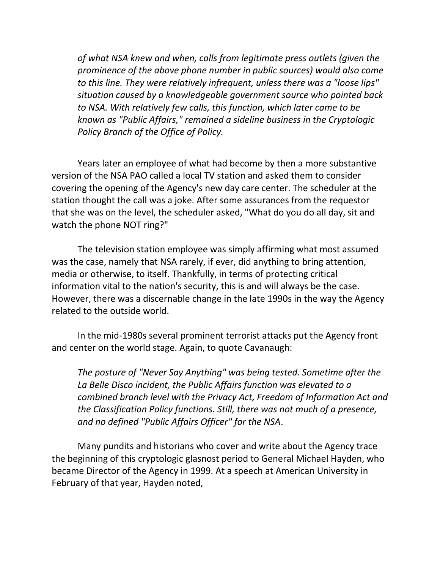*of what NSA knew and when, calls from legitimate press outlets (given the prominence of the above phone number in public sources) would also come to this line. They were relatively infrequent, unless there was a "loose lips" situation caused by a knowledgeable government source who pointed back to NSA. With relatively few calls, this function, which later came to be known as "Public Affairs," remained a sideline business in the Cryptologic Policy Branch of the Office of Policy.*

Years later an employee of what had become by then a more substantive version of the NSA PAO called a local TV station and asked them to consider covering the opening of the Agency's new day care center. The scheduler at the station thought the call was a joke. After some assurances from the requestor that she was on the level, the scheduler asked, "What do you do all day, sit and watch the phone NOT ring?"

The television station employee was simply affirming what most assumed was the case, namely that NSA rarely, if ever, did anything to bring attention, media or otherwise, to itself. Thankfully, in terms of protecting critical information vital to the nation's security, this is and will always be the case. However, there was a discernable change in the late 1990s in the way the Agency related to the outside world.

In the mid-1980s several prominent terrorist attacks put the Agency front and center on the world stage. Again, to quote Cavanaugh:

*The posture of "Never Say Anything" was being tested. Sometime after the La Belle Disco incident, the Public Affairs function was elevated to a combined branch level with the Privacy Act, Freedom of Information Act and the Classification Policy functions. Still, there was not much of a presence, and no defined "Public Affairs Officer" for the NSA*.

Many pundits and historians who cover and write about the Agency trace the beginning of this cryptologic glasnost period to General Michael Hayden, who became Director of the Agency in 1999. At a speech at American University in February of that year, Hayden noted,